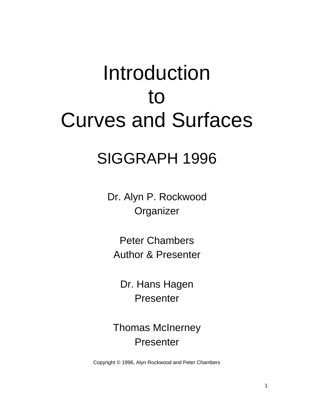# Introduction to [Curves and Surfaces](#page-2-0)

## SIGGRAPH 1996

Dr. Alyn P. Rockwood **Organizer** 

Peter Chambers Author & Presenter

Dr. Hans Hagen Presenter

Thomas McInerney Presenter

Copyright © 1996, Alyn Rockwood and Peter Chambers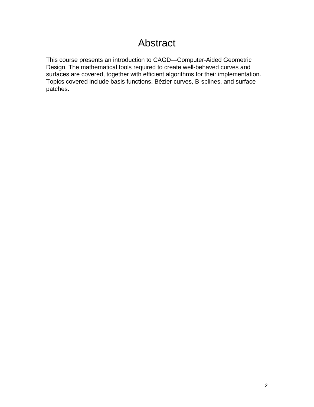## Abstract

This course presents an introduction to CAGD—Computer-Aided Geometric Design. The mathematical tools required to create well-behaved curves and surfaces are covered, together with efficient algorithms for their implementation. Topics covered include basis functions, Bézier curves, B-splines, and surface patches.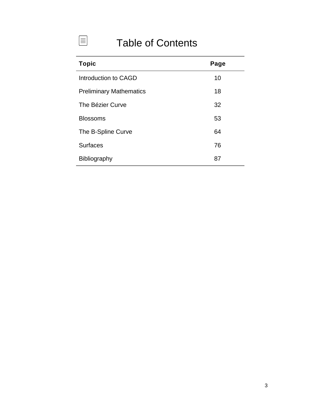## Table of Contents

<span id="page-2-0"></span> $\boxed{\equiv}$ 

| <b>Topic</b>                   | Page |
|--------------------------------|------|
| Introduction to CAGD           | 10   |
| <b>Preliminary Mathematics</b> | 18   |
| The Bézier Curve               | 32   |
| <b>Blossoms</b>                | 53   |
| The B-Spline Curve             | 64   |
| <b>Surfaces</b>                | 76   |
| <b>Bibliography</b>            | 87   |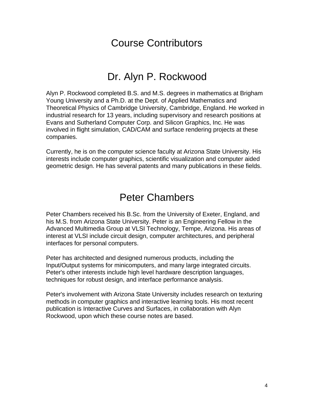## Course Contributors

## Dr. Alyn P. Rockwood

Alyn P. Rockwood completed B.S. and M.S. degrees in mathematics at Brigham Young University and a Ph.D. at the Dept. of Applied Mathematics and Theoretical Physics of Cambridge University, Cambridge, England. He worked in industrial research for 13 years, including supervisory and research positions at Evans and Sutherland Computer Corp. and Silicon Graphics, Inc. He was involved in flight simulation, CAD/CAM and surface rendering projects at these companies.

Currently, he is on the computer science faculty at Arizona State University. His interests include computer graphics, scientific visualization and computer aided geometric design. He has several patents and many publications in these fields.

### Peter Chambers

Peter Chambers received his B.Sc. from the University of Exeter, England, and his M.S. from Arizona State University. Peter is an Engineering Fellow in the Advanced Multimedia Group at VLSI Technology, Tempe, Arizona. His areas of interest at VLSI include circuit design, computer architectures, and peripheral interfaces for personal computers.

Peter has architected and designed numerous products, including the Input/Output systems for minicomputers, and many large integrated circuits. Peter's other interests include high level hardware description languages, techniques for robust design, and interface performance analysis.

Peter's involvement with Arizona State University includes research on texturing methods in computer graphics and interactive learning tools. His most recent publication is Interactive Curves and Surfaces, in collaboration with Alyn Rockwood, upon which these course notes are based.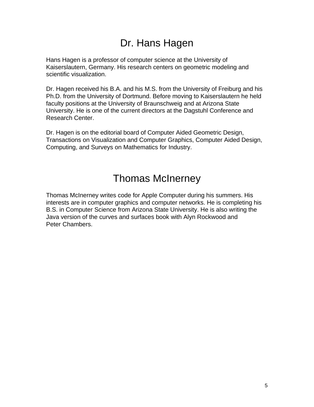## Dr. Hans Hagen

Hans Hagen is a professor of computer science at the University of Kaiserslautern, Germany. His research centers on geometric modeling and scientific visualization.

Dr. Hagen received his B.A. and his M.S. from the University of Freiburg and his Ph.D. from the University of Dortmund. Before moving to Kaiserslautern he held faculty positions at the University of Braunschweig and at Arizona State University. He is one of the current directors at the Dagstuhl Conference and Research Center.

Dr. Hagen is on the editorial board of Computer Aided Geometric Design, Transactions on Visualization and Computer Graphics, Computer Aided Design, Computing, and Surveys on Mathematics for Industry.

## Thomas McInerney

Thomas McInerney writes code for Apple Computer during his summers. His interests are in computer graphics and computer networks. He is completing his B.S. in Computer Science from Arizona State University. He is also writing the Java version of the curves and surfaces book with Alyn Rockwood and Peter Chambers.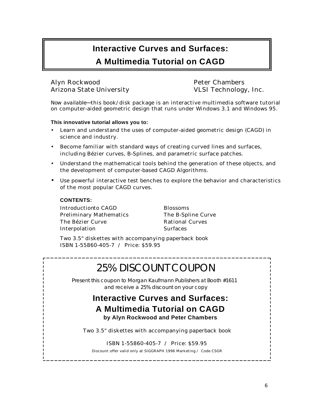#### **Interactive Curves and Surfaces:**

#### **A Multimedia Tutorial on CAGD**

#### Alyn Rockwood Peter Chambers Arizona State University VLSI Technology, Inc.

*Now available*−−this book/disk package is an interactive multimedia software tutorial on computer-aided geometric design that runs under Windows 3.1 and Windows 95.

**This innovative tutorial allows you to:**

- Learn and understand the uses of computer-aided geometric design (CAGD) in science and industry.
- Become familiar with standard ways of creating curved lines and surfaces, including Bézier curves, B-Splines, and parametric surface patches.
- Understand the mathematical tools behind the generation of these objects, and the development of computer-based CAGD Algorithms.
- Use powerful interactive test benches to explore the behavior and characteristics of the most popular CAGD curves.

**CONTENTS:** Introduction to CAGD Blossoms Preliminary Mathematics The B-Spline Curve The Bézier Curve **Rational Curves** Interpolation Surfaces

Two 3.5" diskettes with accompanying paperback book ISBN 1-55860-405-7 / Price: \$59.95

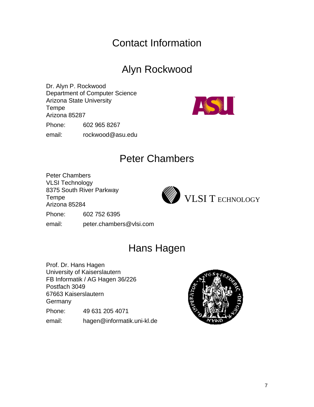## Contact Information

## Alyn Rockwood

Dr. Alyn P. Rockwood Department of Computer Science Arizona State University Tempe Arizona 85287 Phone: 602 965 8267

email: rockwood@asu.edu



## Peter Chambers

Peter Chambers VLSI Technology

8375 South River Parkway Tempe

Arizona 85284



Phone: 602 752 6395

email: peter.chambers@vlsi.com

## Hans Hagen

Prof. Dr. Hans Hagen University of Kaiserslautern FB Informatik / AG Hagen 36/226 Postfach 3049 67663 Kaiserslautern **Germany** Phone: 49 631 205 4071

email: hagen@informatik.uni-kl.de

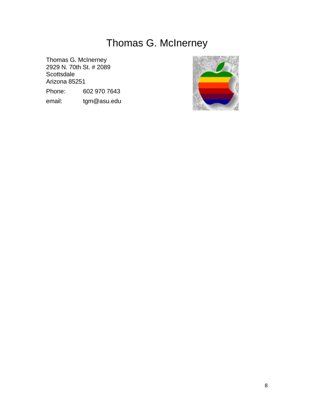## Thomas G. McInerney

Thomas G. McInerney 2929 N. 70th St. # 2089 **Scottsdale** Arizona 85251 Phone: 602 970 7643

email: tgm@asu.edu